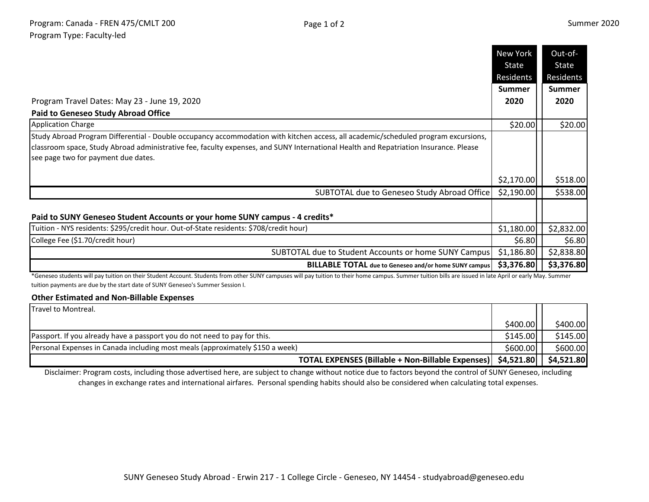|                                                                                                                                                                                                                                                                                                                   | <b>New York</b>    | Out-of-            |
|-------------------------------------------------------------------------------------------------------------------------------------------------------------------------------------------------------------------------------------------------------------------------------------------------------------------|--------------------|--------------------|
|                                                                                                                                                                                                                                                                                                                   | State<br>Residents | State<br>Residents |
|                                                                                                                                                                                                                                                                                                                   | <b>Summer</b>      | <b>Summer</b>      |
| Program Travel Dates: May 23 - June 19, 2020                                                                                                                                                                                                                                                                      | 2020               | 2020               |
| <b>Paid to Geneseo Study Abroad Office</b>                                                                                                                                                                                                                                                                        |                    |                    |
| <b>Application Charge</b>                                                                                                                                                                                                                                                                                         | \$20.00            | \$20.00            |
| Study Abroad Program Differential - Double occupancy accommodation with kitchen access, all academic/scheduled program excursions,<br>classroom space, Study Abroad administrative fee, faculty expenses, and SUNY International Health and Repatriation Insurance. Please<br>see page two for payment due dates. |                    |                    |
|                                                                                                                                                                                                                                                                                                                   | \$2,170.00         | \$518.00           |
| SUBTOTAL due to Geneseo Study Abroad Office                                                                                                                                                                                                                                                                       | \$2,190.00         | \$538.00           |
| Paid to SUNY Geneseo Student Accounts or your home SUNY campus - 4 credits*                                                                                                                                                                                                                                       |                    |                    |
| Tuition - NYS residents: \$295/credit hour. Out-of-State residents: \$708/credit hour)                                                                                                                                                                                                                            | \$1,180.00         | \$2,832.00         |
| College Fee (\$1.70/credit hour)                                                                                                                                                                                                                                                                                  | \$6.80             | \$6.80             |
| SUBTOTAL due to Student Accounts or home SUNY Campus                                                                                                                                                                                                                                                              | \$1,186.80         | \$2,838.80         |
| <b>BILLABLE TOTAL</b> due to Geneseo and/or home SUNY campus                                                                                                                                                                                                                                                      | \$3,376.80         | \$3,376.80         |

\*Geneseo students will pay tuition on their Student Account. Students from other SUNY campuses will pay tuition to their home campus. Summer tuition bills are issued in late April or early May. Summer tuition payments are due by the start date of SUNY Geneseo's Summer Session I.

## **Other Estimated and Non-Billable Expenses**

| <b>Travel to Montreal.</b>                                                     |          |            |
|--------------------------------------------------------------------------------|----------|------------|
|                                                                                | \$400.00 | \$400.00   |
| Passport. If you already have a passport you do not need to pay for this.      | \$145.00 | \$145.00   |
| [Personal Expenses in Canada including most meals (approximately \$150 a week) | \$600.00 | \$600.00]  |
| TOTAL EXPENSES (Billable + Non-Billable Expenses)   \$4,521.80                 |          | \$4,521.80 |

Disclaimer: Program costs, including those advertised here, are subject to change without notice due to factors beyond the control of SUNY Geneseo, including changes in exchange rates and international airfares. Personal spending habits should also be considered when calculating total expenses.